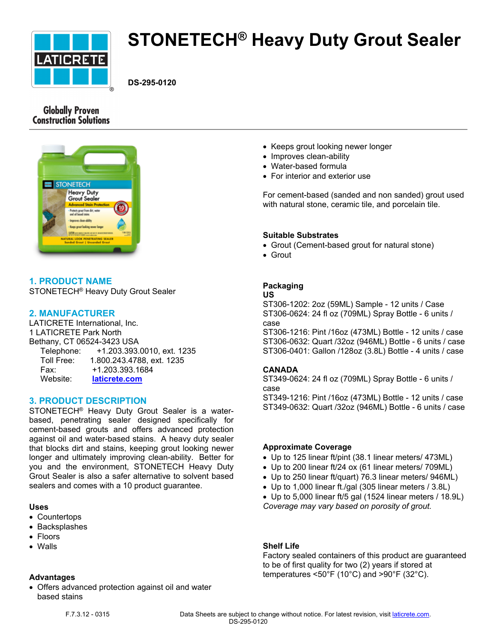

# **STONETECH® Heavy Duty Grout Sealer**

**DS-295-0120**

# **Globally Proven Construction Solutions**



# **1. PRODUCT NAME**

STONETECH® Heavy Duty Grout Sealer

# **2. MANUFACTURER**

LATICRETE International, Inc. 1 LATICRETE Park North Bethany, CT 06524-3423 USA Telephone: +1.203.393.0010, ext. 1235 Toll Free: 1.800.243.4788, ext. 1235 Fax: +1.203.393.1684 Website: **[laticrete.com](https://laticrete.com/)**

## **3. PRODUCT DESCRIPTION**

STONETECH® Heavy Duty Grout Sealer is a waterbased, penetrating sealer designed specifically for cement-based grouts and offers advanced protection against oil and water-based stains. A heavy duty sealer that blocks dirt and stains, keeping grout looking newer longer and ultimately improving clean-ability. Better for you and the environment, STONETECH Heavy Duty Grout Sealer is also a safer alternative to solvent based sealers and comes with a 10 product guarantee.

#### **Uses**

- Countertops
- Backsplashes
- Floors
- Walls

#### **Advantages**

 Offers advanced protection against oil and water based stains

- Keeps grout looking newer longer
- Improves clean-ability
- Water-based formula
- For interior and exterior use

For cement-based (sanded and non sanded) grout used with natural stone, ceramic tile, and porcelain tile.

#### **Suitable Substrates**

- Grout (Cement-based grout for natural stone)
- Grout

# **Packaging**

#### **US**

ST306-1202: 2oz (59ML) Sample - 12 units / Case ST306-0624: 24 fl oz (709ML) Spray Bottle - 6 units / case

ST306-1216: Pint /16oz (473ML) Bottle - 12 units / case ST306-0632: Quart /32oz (946ML) Bottle - 6 units / case ST306-0401: Gallon /128oz (3.8L) Bottle - 4 units / case

#### **CANADA**

ST349-0624: 24 fl oz (709ML) Spray Bottle - 6 units / case

ST349-1216: Pint /16oz (473ML) Bottle - 12 units / case ST349-0632: Quart /32oz (946ML) Bottle - 6 units / case

## **Approximate Coverage**

- Up to 125 linear ft/pint (38.1 linear meters/ 473ML)
- Up to 200 linear ft/24 ox (61 linear meters/ 709ML)
- Up to 250 linear ft/quart) 76.3 linear meters/ 946ML)
- Up to 1,000 linear ft./gal (305 linear meters / 3.8L)
- Up to 5,000 linear ft/5 gal (1524 linear meters / 18.9L) *Coverage may vary based on porosity of grout.*

## **Shelf Life**

Factory sealed containers of this product are guaranteed to be of first quality for two (2) years if stored at temperatures <50°F (10°C) and >90°F (32°C).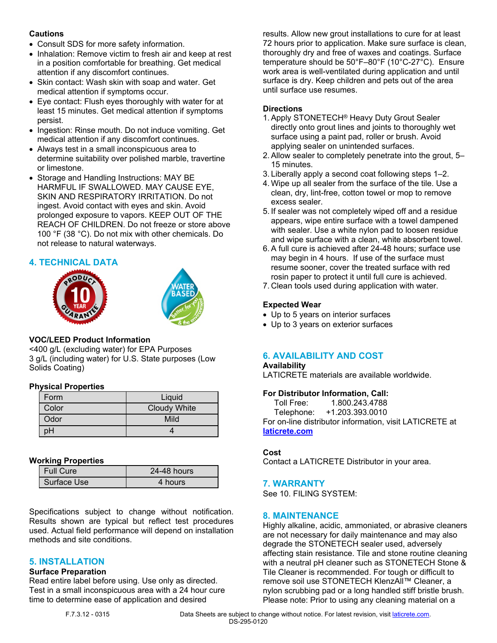## **Cautions**

- Consult SDS for more safety information.
- Inhalation: Remove victim to fresh air and keep at rest in a position comfortable for breathing. Get medical attention if any discomfort continues.
- Skin contact: Wash skin with soap and water. Get medical attention if symptoms occur.
- Eye contact: Flush eyes thoroughly with water for at least 15 minutes. Get medical attention if symptoms persist.
- Ingestion: Rinse mouth. Do not induce vomiting. Get medical attention if any discomfort continues.
- Always test in a small inconspicuous area to determine suitability over polished marble, travertine or limestone.
- Storage and Handling Instructions: MAY BE HARMFUL IF SWALLOWED. MAY CAUSE EYE, SKIN AND RESPIRATORY IRRITATION. Do not ingest. Avoid contact with eyes and skin. Avoid prolonged exposure to vapors. KEEP OUT OF THE REACH OF CHILDREN. Do not freeze or store above 100 °F (38 °C). Do not mix with other chemicals. Do not release to natural waterways.

# **4. TECHNICAL DATA**





# **VOC/LEED Product Information**

<400 g/L (excluding water) for EPA Purposes 3 g/L (including water) for U.S. State purposes (Low Solids Coating)

## **Physical Properties**

| Form  | Liquid              |
|-------|---------------------|
| Color | <b>Cloudy White</b> |
| Odor  | Mild                |
|       |                     |

## **Working Properties**

| <b>Full Cure</b> | 24-48 hours |
|------------------|-------------|
| Surface Use      | 4 hours     |
|                  |             |

Specifications subject to change without notification. Results shown are typical but reflect test procedures used. Actual field performance will depend on installation methods and site conditions.

## **5. INSTALLATION**

## **Surface Preparation**

Read entire label before using. Use only as directed. Test in a small inconspicuous area with a 24 hour cure time to determine ease of application and desired

results. Allow new grout installations to cure for at least 72 hours prior to application. Make sure surface is clean, thoroughly dry and free of waxes and coatings. Surface temperature should be 50°F–80°F (10°C-27°C). Ensure work area is well-ventilated during application and until surface is dry. Keep children and pets out of the area until surface use resumes.

# **Directions**

- 1. Apply STONETECH® Heavy Duty Grout Sealer directly onto grout lines and joints to thoroughly wet surface using a paint pad, roller or brush. Avoid applying sealer on unintended surfaces.
- 2. Allow sealer to completely penetrate into the grout, 5– 15 minutes.
- 3. Liberally apply a second coat following steps 1–2.
- 4. Wipe up all sealer from the surface of the tile. Use a clean, dry, lint-free, cotton towel or mop to remove excess sealer.
- 5. If sealer was not completely wiped off and a residue appears, wipe entire surface with a towel dampened with sealer. Use a white nylon pad to loosen residue and wipe surface with a clean, white absorbent towel.
- 6. A full cure is achieved after 24-48 hours; surface use may begin in 4 hours. If use of the surface must resume sooner, cover the treated surface with red rosin paper to protect it until full cure is achieved.
- 7. Clean tools used during application with water.

# **Expected Wear**

- Up to 5 years on interior surfaces
- Up to 3 years on exterior surfaces

# **6. AVAILABILITY AND COST**

#### **Availability**

LATICRETE materials are available worldwide.

## **For Distributor Information, Call:**

 Toll Free: 1.800.243.4788 Telephone: +1.203.393.0010 For on-line distributor information, visit LATICRETE at **[laticrete.com](https://laticrete.com/)**

## **Cost**

Contact a LATICRETE Distributor in your area.

## **7. WARRANTY**

See 10. FILING SYSTEM:

## **8. MAINTENANCE**

Highly alkaline, acidic, ammoniated, or abrasive cleaners are not necessary for daily maintenance and may also degrade the STONETECH sealer used, adversely affecting stain resistance. Tile and stone routine cleaning with a neutral pH cleaner such as STONETECH Stone & Tile Cleaner is recommended. For tough or difficult to remove soil use STONETECH KlenzAll™ Cleaner, a nylon scrubbing pad or a long handled stiff bristle brush. Please note: Prior to using any cleaning material on a

F.7.3.12 - 0315 Data Sheets are subject to change without notice. For latest revision, visit [laticrete.com.](https://laticrete.com/) DS-295-0120